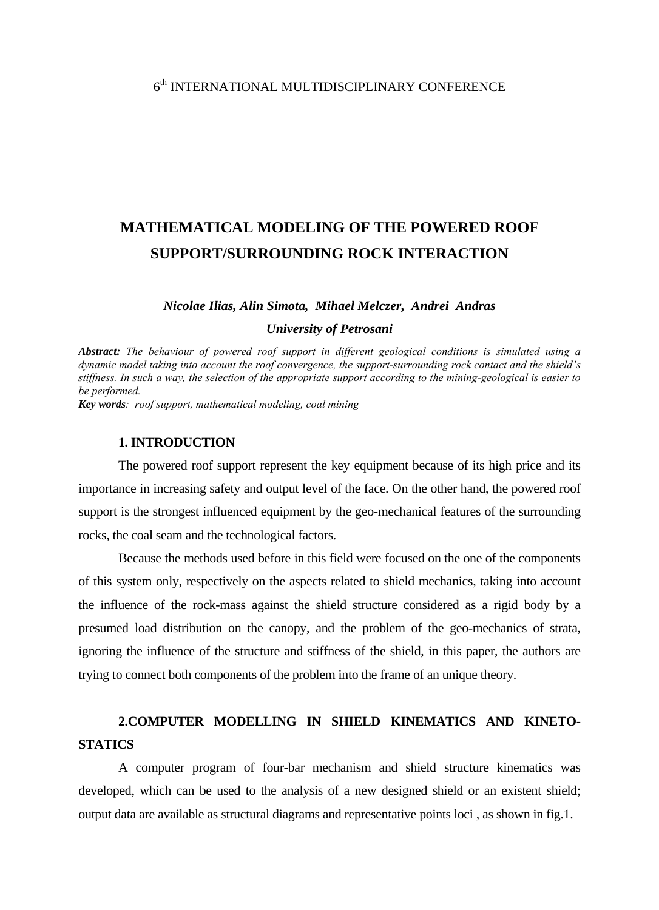## $6<sup>th</sup>$  INTERNATIONAL MULTIDISCIPLINARY CONFERENCE

# **MATHEMATICAL MODELING OF THE POWERED ROOF SUPPORT/SURROUNDING ROCK INTERACTION**

#### *Nicolae Ilias, Alin Simota, Mihael Melczer, Andrei Andras*

#### *University of Petrosani*

*Abstract: The behaviour of powered roof support in different geological conditions is simulated using a dynamic model taking into account the roof convergence, the support-surrounding rock contact and the shield's stiffness. In such a way, the selection of the appropriate support according to the mining-geological is easier to be performed.* 

*Key words: roof support, mathematical modeling, coal mining*

### **1. INTRODUCTION**

The powered roof support represent the key equipment because of its high price and its importance in increasing safety and output level of the face. On the other hand, the powered roof support is the strongest influenced equipment by the geo-mechanical features of the surrounding rocks, the coal seam and the technological factors.

 Because the methods used before in this field were focused on the one of the components of this system only, respectively on the aspects related to shield mechanics, taking into account the influence of the rock-mass against the shield structure considered as a rigid body by a presumed load distribution on the canopy, and the problem of the geo-mechanics of strata, ignoring the influence of the structure and stiffness of the shield, in this paper, the authors are trying to connect both components of the problem into the frame of an unique theory.

# **2.COMPUTER MODELLING IN SHIELD KINEMATICS AND KINETO-STATICS**

A computer program of four-bar mechanism and shield structure kinematics was developed, which can be used to the analysis of a new designed shield or an existent shield; output data are available as structural diagrams and representative points loci , as shown in fig.1.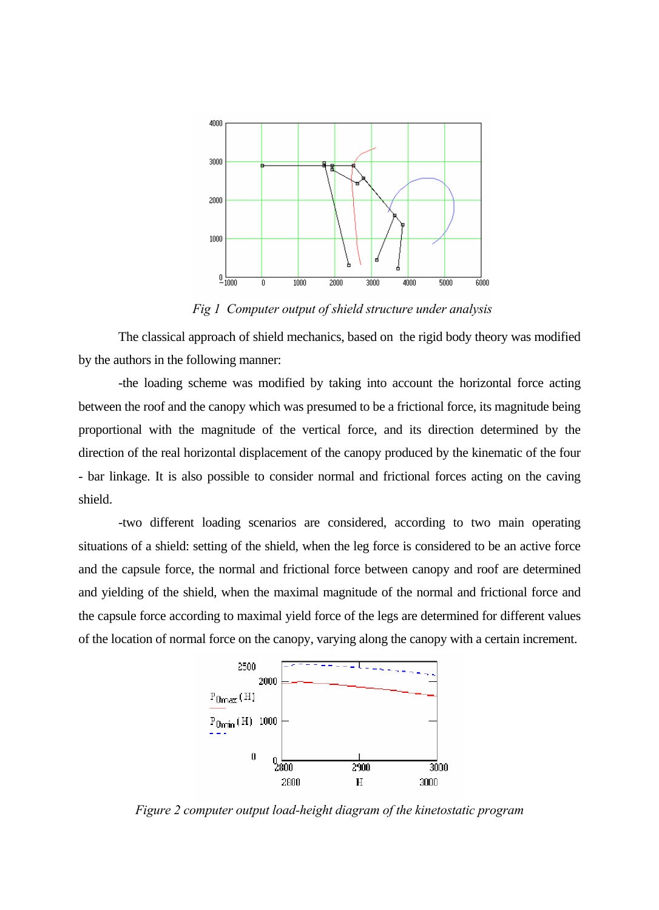

*Fig 1 Computer output of shield structure under analysis*

 The classical approach of shield mechanics, based on the rigid body theory was modified by the authors in the following manner:

 -the loading scheme was modified by taking into account the horizontal force acting between the roof and the canopy which was presumed to be a frictional force, its magnitude being proportional with the magnitude of the vertical force, and its direction determined by the direction of the real horizontal displacement of the canopy produced by the kinematic of the four - bar linkage. It is also possible to consider normal and frictional forces acting on the caving shield.

 -two different loading scenarios are considered, according to two main operating situations of a shield: setting of the shield, when the leg force is considered to be an active force and the capsule force, the normal and frictional force between canopy and roof are determined and yielding of the shield, when the maximal magnitude of the normal and frictional force and the capsule force according to maximal yield force of the legs are determined for different values of the location of normal force on the canopy, varying along the canopy with a certain increment.



*Figure 2 computer output load-height diagram of the kinetostatic program*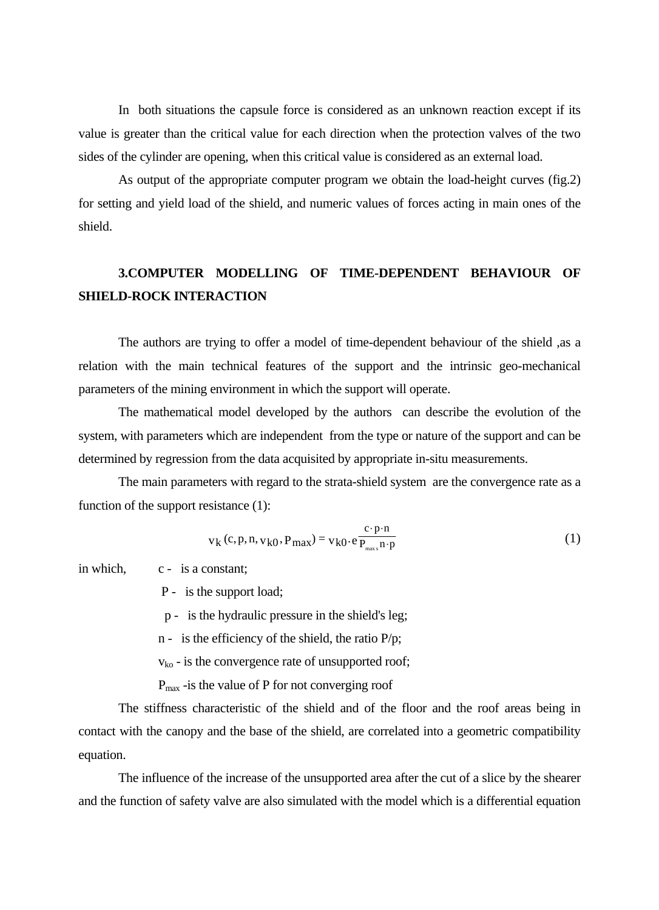In both situations the capsule force is considered as an unknown reaction except if its value is greater than the critical value for each direction when the protection valves of the two sides of the cylinder are opening, when this critical value is considered as an external load.

 As output of the appropriate computer program we obtain the load-height curves (fig.2) for setting and yield load of the shield, and numeric values of forces acting in main ones of the shield.

# **3.COMPUTER MODELLING OF TIME-DEPENDENT BEHAVIOUR OF SHIELD-ROCK INTERACTION**

 The authors are trying to offer a model of time-dependent behaviour of the shield ,as a relation with the main technical features of the support and the intrinsic geo-mechanical parameters of the mining environment in which the support will operate.

 The mathematical model developed by the authors can describe the evolution of the system, with parameters which are independent from the type or nature of the support and can be determined by regression from the data acquisited by appropriate in-situ measurements.

 The main parameters with regard to the strata-shield system are the convergence rate as a function of the support resistance (1):

$$
v_k (c, p, n, v_{k0}, P_{max}) = v_{k0} \cdot e \frac{c \cdot p \cdot n}{P_{max} n \cdot p}
$$
 (1)

in which, c - is a constant;

P - is the support load;

p - is the hydraulic pressure in the shield's leg;

n - is the efficiency of the shield, the ratio P/p;

 $v_{ko}$  - is the convergence rate of unsupported roof;

 $P_{\text{max}}$  -is the value of P for not converging roof

 The stiffness characteristic of the shield and of the floor and the roof areas being in contact with the canopy and the base of the shield, are correlated into a geometric compatibility equation.

The influence of the increase of the unsupported area after the cut of a slice by the shearer and the function of safety valve are also simulated with the model which is a differential equation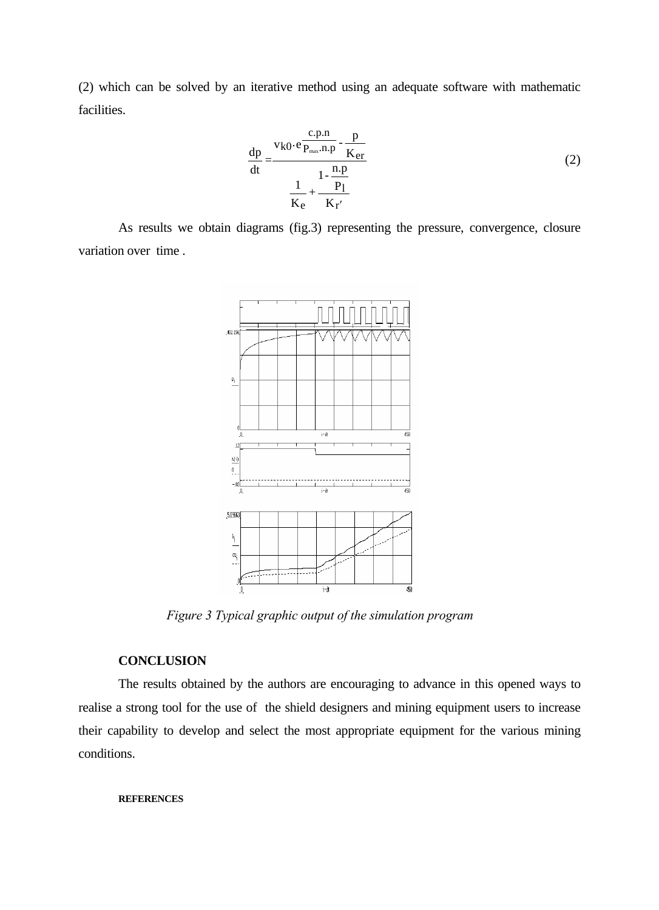(2) which can be solved by an iterative method using an adequate software with mathematic facilities.

$$
\frac{dp}{dt} = \frac{v_{k0} \cdot e \frac{c.p.n}{P_{max}.n.p} - \frac{p}{K_{er}}}{\frac{1}{K_{e}} + \frac{1 - \frac{n.p}{P_1}}{K_{r'}}}
$$
(2)

As results we obtain diagrams (fig.3) representing the pressure, convergence, closure variation over time .



*Figure 3 Typical graphic output of the simulation program* 

### **CONCLUSION**

The results obtained by the authors are encouraging to advance in this opened ways to realise a strong tool for the use of the shield designers and mining equipment users to increase their capability to develop and select the most appropriate equipment for the various mining conditions.

#### **REFERENCES**